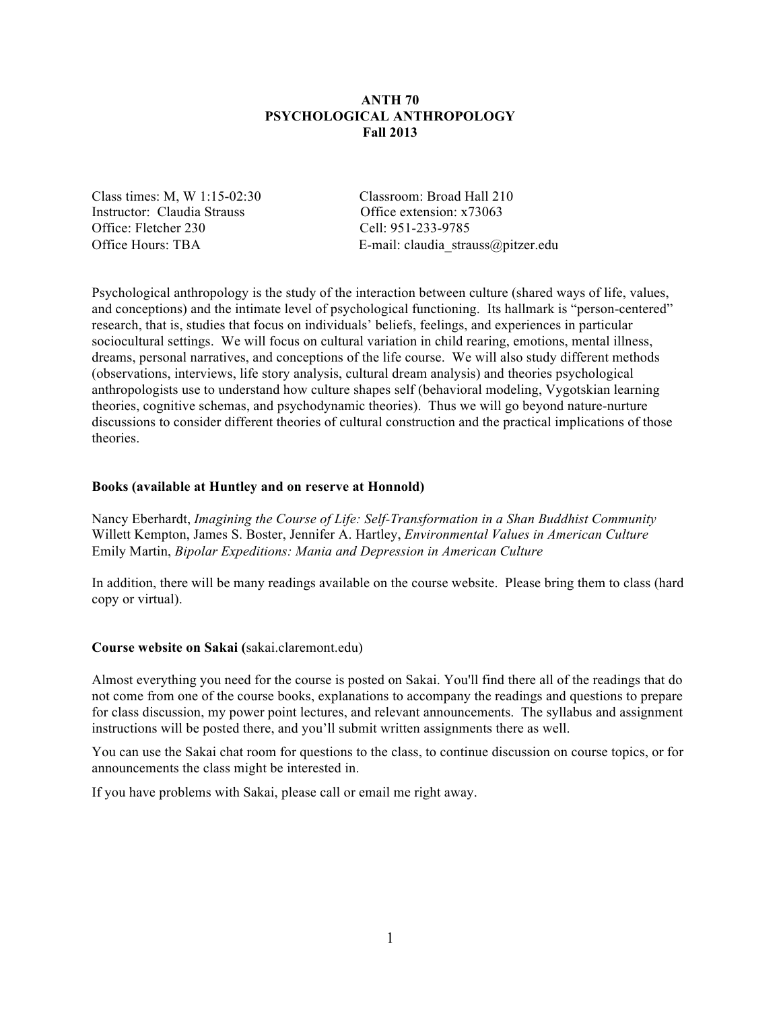# **ANTH 70 PSYCHOLOGICAL ANTHROPOLOGY Fall 2013**

Class times: M, W 1:15-02:30 Classroom: Broad Hall 210 Instructor: Claudia Strauss Office extension: x73063 Office: Fletcher 230 Cell: 951-233-9785

Office Hours: TBA E-mail: claudia strauss@pitzer.edu

Psychological anthropology is the study of the interaction between culture (shared ways of life, values, and conceptions) and the intimate level of psychological functioning. Its hallmark is "person-centered" research, that is, studies that focus on individuals' beliefs, feelings, and experiences in particular sociocultural settings. We will focus on cultural variation in child rearing, emotions, mental illness, dreams, personal narratives, and conceptions of the life course. We will also study different methods (observations, interviews, life story analysis, cultural dream analysis) and theories psychological anthropologists use to understand how culture shapes self (behavioral modeling, Vygotskian learning theories, cognitive schemas, and psychodynamic theories). Thus we will go beyond nature-nurture discussions to consider different theories of cultural construction and the practical implications of those theories.

### **Books (available at Huntley and on reserve at Honnold)**

Nancy Eberhardt, *Imagining the Course of Life: Self-Transformation in a Shan Buddhist Community* Willett Kempton, James S. Boster, Jennifer A. Hartley, *Environmental Values in American Culture* Emily Martin, *Bipolar Expeditions: Mania and Depression in American Culture*

In addition, there will be many readings available on the course website. Please bring them to class (hard copy or virtual).

### **Course website on Sakai (**sakai.claremont.edu)

Almost everything you need for the course is posted on Sakai. You'll find there all of the readings that do not come from one of the course books, explanations to accompany the readings and questions to prepare for class discussion, my power point lectures, and relevant announcements. The syllabus and assignment instructions will be posted there, and you'll submit written assignments there as well.

You can use the Sakai chat room for questions to the class, to continue discussion on course topics, or for announcements the class might be interested in.

If you have problems with Sakai, please call or email me right away.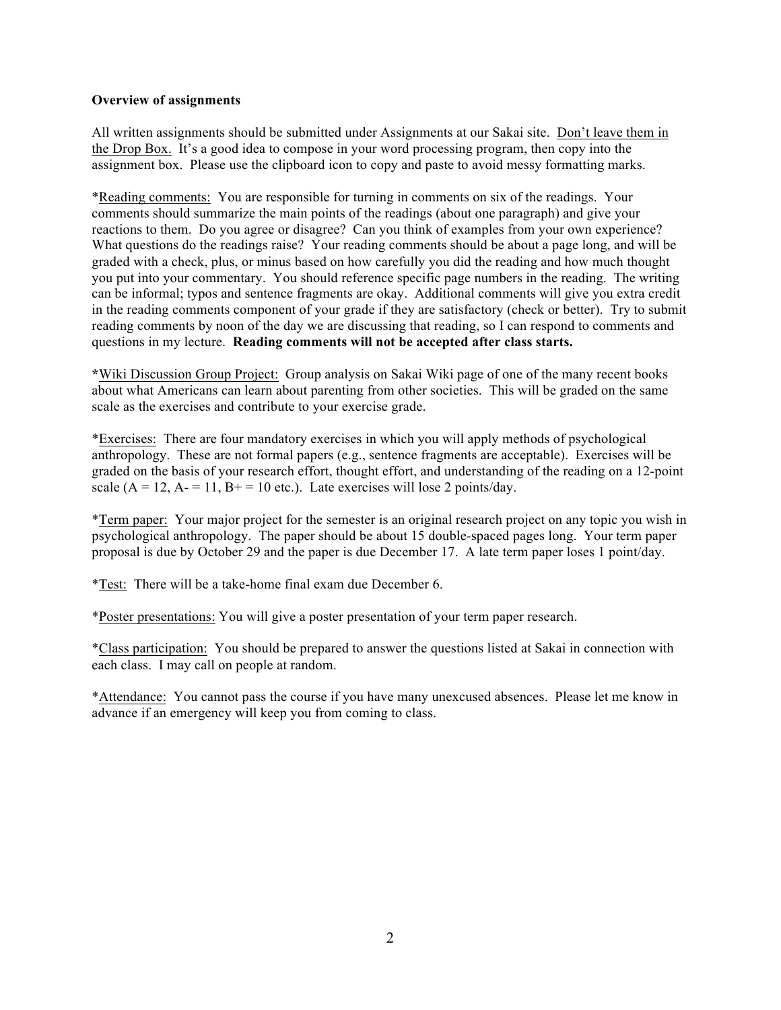## **Overview of assignments**

All written assignments should be submitted under Assignments at our Sakai site. Don't leave them in the Drop Box. It's a good idea to compose in your word processing program, then copy into the assignment box. Please use the clipboard icon to copy and paste to avoid messy formatting marks.

\*Reading comments: You are responsible for turning in comments on six of the readings. Your comments should summarize the main points of the readings (about one paragraph) and give your reactions to them. Do you agree or disagree? Can you think of examples from your own experience? What questions do the readings raise? Your reading comments should be about a page long, and will be graded with a check, plus, or minus based on how carefully you did the reading and how much thought you put into your commentary. You should reference specific page numbers in the reading. The writing can be informal; typos and sentence fragments are okay. Additional comments will give you extra credit in the reading comments component of your grade if they are satisfactory (check or better). Try to submit reading comments by noon of the day we are discussing that reading, so I can respond to comments and questions in my lecture. **Reading comments will not be accepted after class starts.** 

**\***Wiki Discussion Group Project: Group analysis on Sakai Wiki page of one of the many recent books about what Americans can learn about parenting from other societies. This will be graded on the same scale as the exercises and contribute to your exercise grade.

\*Exercises: There are four mandatory exercises in which you will apply methods of psychological anthropology. These are not formal papers (e.g., sentence fragments are acceptable). Exercises will be graded on the basis of your research effort, thought effort, and understanding of the reading on a 12-point scale  $(A = 12, A = 11, B<sup>+</sup> = 10$  etc.). Late exercises will lose 2 points/day.

\*Term paper: Your major project for the semester is an original research project on any topic you wish in psychological anthropology. The paper should be about 15 double-spaced pages long. Your term paper proposal is due by October 29 and the paper is due December 17. A late term paper loses 1 point/day.

\*Test: There will be a take-home final exam due December 6.

\*Poster presentations: You will give a poster presentation of your term paper research.

\*Class participation: You should be prepared to answer the questions listed at Sakai in connection with each class. I may call on people at random.

\*Attendance: You cannot pass the course if you have many unexcused absences. Please let me know in advance if an emergency will keep you from coming to class.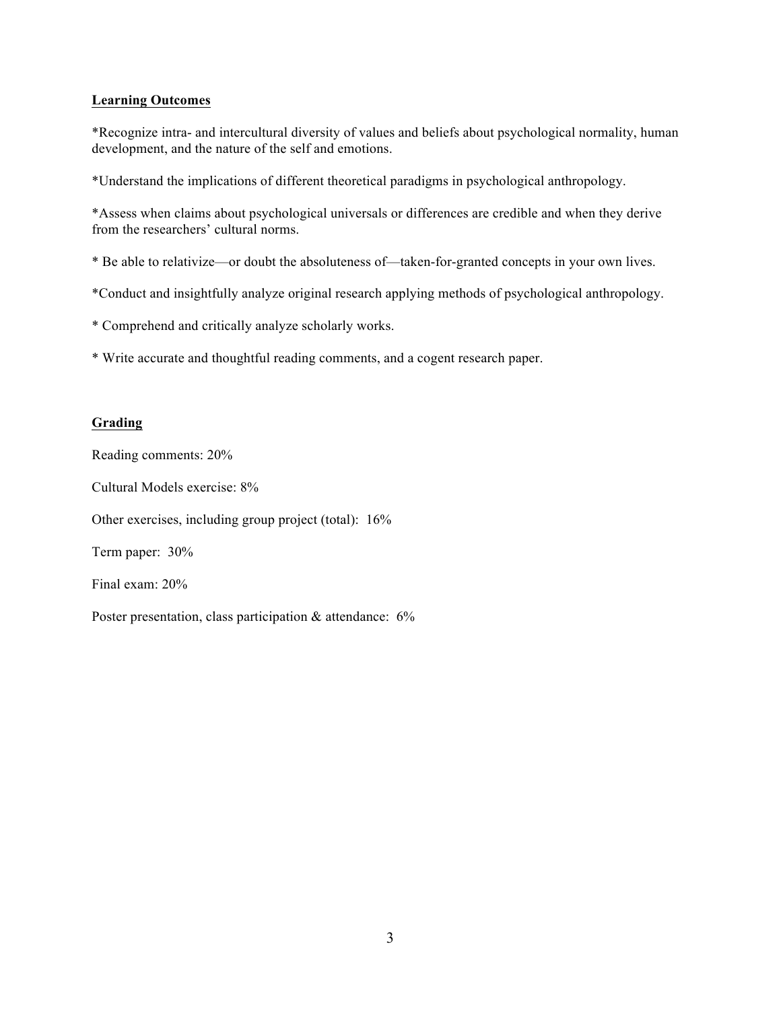# **Learning Outcomes**

\*Recognize intra- and intercultural diversity of values and beliefs about psychological normality, human development, and the nature of the self and emotions.

\*Understand the implications of different theoretical paradigms in psychological anthropology.

\*Assess when claims about psychological universals or differences are credible and when they derive from the researchers' cultural norms.

- \* Be able to relativize—or doubt the absoluteness of—taken-for-granted concepts in your own lives.
- \*Conduct and insightfully analyze original research applying methods of psychological anthropology.
- \* Comprehend and critically analyze scholarly works.
- \* Write accurate and thoughtful reading comments, and a cogent research paper.

# **Grading**

Reading comments: 20%

Cultural Models exercise: 8%

Other exercises, including group project (total): 16%

Term paper: 30%

Final exam: 20%

Poster presentation, class participation & attendance: 6%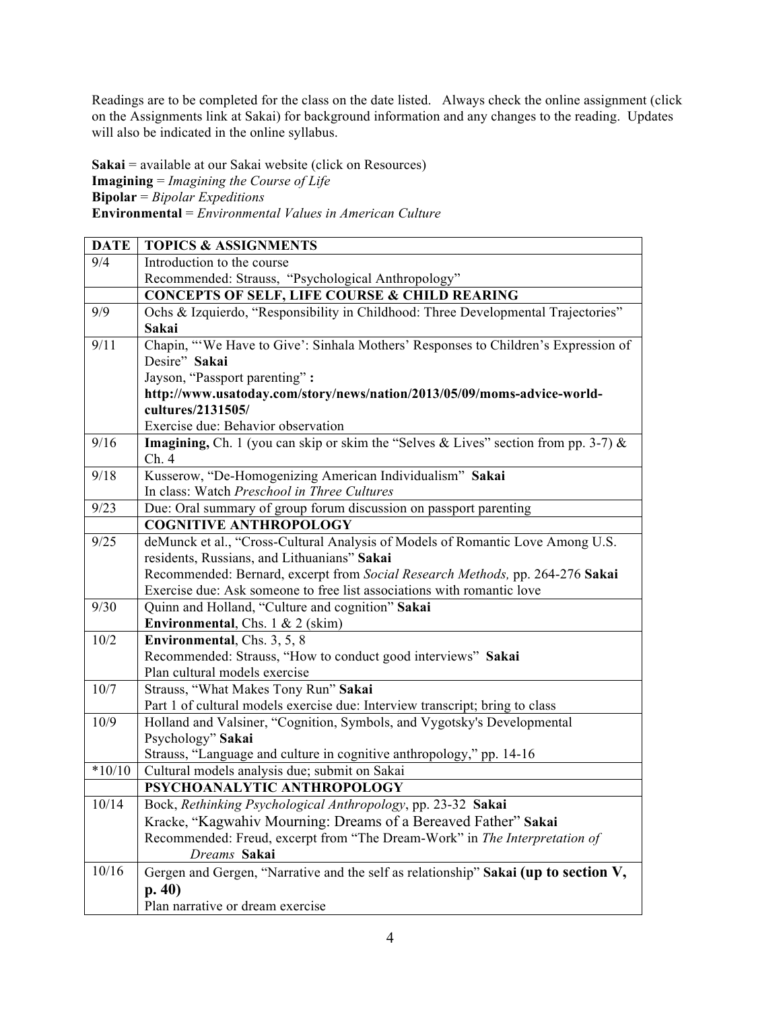Readings are to be completed for the class on the date listed. Always check the online assignment (click on the Assignments link at Sakai) for background information and any changes to the reading. Updates will also be indicated in the online syllabus.

**Sakai** = available at our Sakai website (click on Resources) **Imagining** = *Imagining the Course of Life* **Bipolar** = *Bipolar Expeditions* **Environmental** = *Environmental Values in American Culture*

| <b>DATE</b> | <b>TOPICS &amp; ASSIGNMENTS</b>                                                     |
|-------------|-------------------------------------------------------------------------------------|
| 9/4         | Introduction to the course                                                          |
|             | Recommended: Strauss, "Psychological Anthropology"                                  |
|             | <b>CONCEPTS OF SELF, LIFE COURSE &amp; CHILD REARING</b>                            |
| 9/9         | Ochs & Izquierdo, "Responsibility in Childhood: Three Developmental Trajectories"   |
|             | Sakai                                                                               |
| 9/11        | Chapin, "'We Have to Give': Sinhala Mothers' Responses to Children's Expression of  |
|             | Desire" Sakai                                                                       |
|             | Jayson, "Passport parenting":                                                       |
|             | http://www.usatoday.com/story/news/nation/2013/05/09/moms-advice-world-             |
|             | cultures/2131505/                                                                   |
|             | Exercise due: Behavior observation                                                  |
| 9/16        | Imagining, Ch. 1 (you can skip or skim the "Selves & Lives" section from pp. 3-7) & |
|             | Ch.4                                                                                |
| 9/18        | Kusserow, "De-Homogenizing American Individualism" Sakai                            |
|             | In class: Watch Preschool in Three Cultures                                         |
| 9/23        | Due: Oral summary of group forum discussion on passport parenting                   |
|             | <b>COGNITIVE ANTHROPOLOGY</b>                                                       |
| 9/25        | deMunck et al., "Cross-Cultural Analysis of Models of Romantic Love Among U.S.      |
|             | residents, Russians, and Lithuanians" Sakai                                         |
|             | Recommended: Bernard, excerpt from Social Research Methods, pp. 264-276 Sakai       |
|             | Exercise due: Ask someone to free list associations with romantic love              |
| 9/30        | Quinn and Holland, "Culture and cognition" Sakai                                    |
|             | Environmental, Chs. 1 & 2 (skim)                                                    |
| 10/2        | Environmental, Chs. 3, 5, 8                                                         |
|             | Recommended: Strauss, "How to conduct good interviews" Sakai                        |
|             | Plan cultural models exercise                                                       |
| 10/7        | Strauss, "What Makes Tony Run" Sakai                                                |
|             | Part 1 of cultural models exercise due: Interview transcript; bring to class        |
| 10/9        | Holland and Valsiner, "Cognition, Symbols, and Vygotsky's Developmental             |
|             | Psychology" Sakai                                                                   |
|             | Strauss, "Language and culture in cognitive anthropology," pp. 14-16                |
| $*10/10$    | Cultural models analysis due; submit on Sakai                                       |
|             | PSYCHOANALYTIC ANTHROPOLOGY                                                         |
| 10/14       | Bock, Rethinking Psychological Anthropology, pp. 23-32 Sakai                        |
|             | Kracke, "Kagwahiv Mourning: Dreams of a Bereaved Father" Sakai                      |
|             | Recommended: Freud, excerpt from "The Dream-Work" in The Interpretation of          |
|             | Dreams Sakai                                                                        |
| 10/16       | Gergen and Gergen, "Narrative and the self as relationship" Sakai (up to section V, |
|             | p.40)                                                                               |
|             | Plan narrative or dream exercise                                                    |